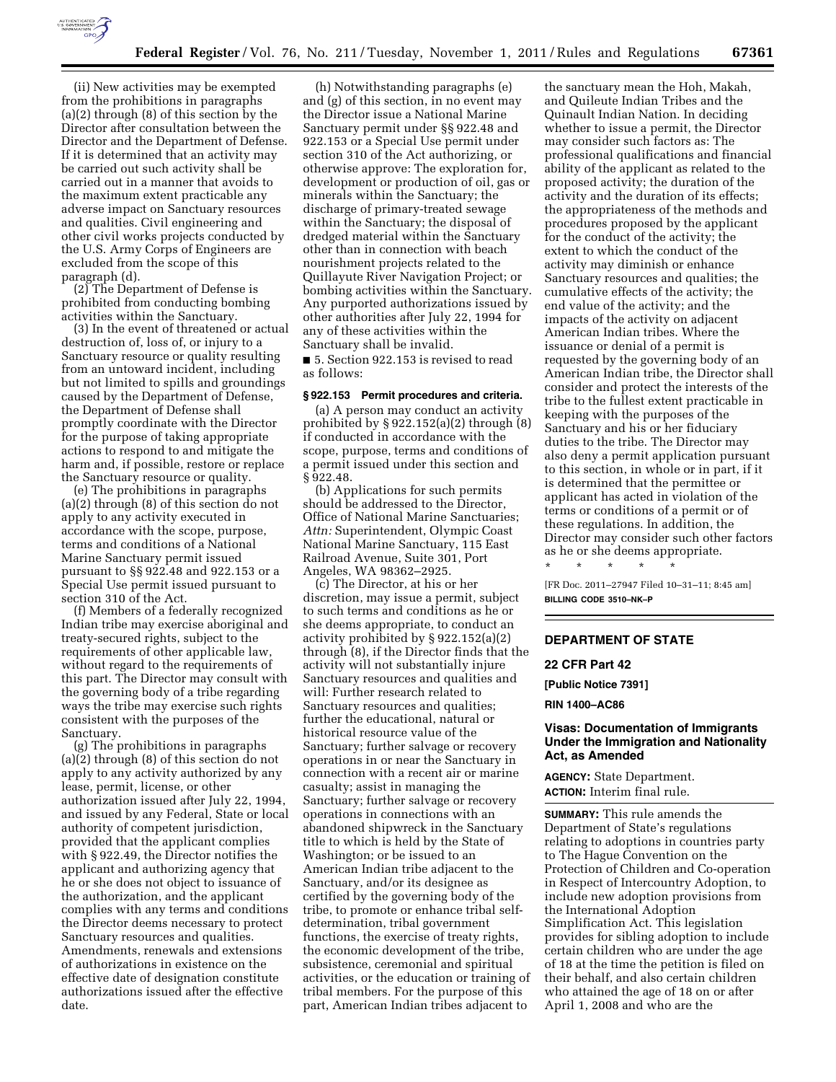

(ii) New activities may be exempted from the prohibitions in paragraphs (a)(2) through (8) of this section by the Director after consultation between the Director and the Department of Defense. If it is determined that an activity may be carried out such activity shall be carried out in a manner that avoids to the maximum extent practicable any adverse impact on Sanctuary resources and qualities. Civil engineering and other civil works projects conducted by the U.S. Army Corps of Engineers are excluded from the scope of this paragraph (d).

(2) The Department of Defense is prohibited from conducting bombing activities within the Sanctuary.

(3) In the event of threatened or actual destruction of, loss of, or injury to a Sanctuary resource or quality resulting from an untoward incident, including but not limited to spills and groundings caused by the Department of Defense, the Department of Defense shall promptly coordinate with the Director for the purpose of taking appropriate actions to respond to and mitigate the harm and, if possible, restore or replace the Sanctuary resource or quality.

(e) The prohibitions in paragraphs (a)(2) through (8) of this section do not apply to any activity executed in accordance with the scope, purpose, terms and conditions of a National Marine Sanctuary permit issued pursuant to §§ 922.48 and 922.153 or a Special Use permit issued pursuant to section 310 of the Act.

(f) Members of a federally recognized Indian tribe may exercise aboriginal and treaty-secured rights, subject to the requirements of other applicable law, without regard to the requirements of this part. The Director may consult with the governing body of a tribe regarding ways the tribe may exercise such rights consistent with the purposes of the Sanctuary.

(g) The prohibitions in paragraphs (a)(2) through (8) of this section do not apply to any activity authorized by any lease, permit, license, or other authorization issued after July 22, 1994, and issued by any Federal, State or local authority of competent jurisdiction, provided that the applicant complies with § 922.49, the Director notifies the applicant and authorizing agency that he or she does not object to issuance of the authorization, and the applicant complies with any terms and conditions the Director deems necessary to protect Sanctuary resources and qualities. Amendments, renewals and extensions of authorizations in existence on the effective date of designation constitute authorizations issued after the effective date.

(h) Notwithstanding paragraphs (e) and (g) of this section, in no event may the Director issue a National Marine Sanctuary permit under §§ 922.48 and 922.153 or a Special Use permit under section 310 of the Act authorizing, or otherwise approve: The exploration for, development or production of oil, gas or minerals within the Sanctuary; the discharge of primary-treated sewage within the Sanctuary; the disposal of dredged material within the Sanctuary other than in connection with beach nourishment projects related to the Quillayute River Navigation Project; or bombing activities within the Sanctuary. Any purported authorizations issued by other authorities after July 22, 1994 for any of these activities within the Sanctuary shall be invalid.

■ 5. Section 922.153 is revised to read as follows:

# **§ 922.153 Permit procedures and criteria.**

(a) A person may conduct an activity prohibited by  $\S 922.152(a)(2)$  through  $(8)$ if conducted in accordance with the scope, purpose, terms and conditions of a permit issued under this section and § 922.48.

(b) Applications for such permits should be addressed to the Director, Office of National Marine Sanctuaries; *Attn:* Superintendent, Olympic Coast National Marine Sanctuary, 115 East Railroad Avenue, Suite 301, Port Angeles, WA 98362–2925.

(c) The Director, at his or her discretion, may issue a permit, subject to such terms and conditions as he or she deems appropriate, to conduct an activity prohibited by § 922.152(a)(2) through (8), if the Director finds that the activity will not substantially injure Sanctuary resources and qualities and will: Further research related to Sanctuary resources and qualities; further the educational, natural or historical resource value of the Sanctuary; further salvage or recovery operations in or near the Sanctuary in connection with a recent air or marine casualty; assist in managing the Sanctuary; further salvage or recovery operations in connections with an abandoned shipwreck in the Sanctuary title to which is held by the State of Washington; or be issued to an American Indian tribe adjacent to the Sanctuary, and/or its designee as certified by the governing body of the tribe, to promote or enhance tribal selfdetermination, tribal government functions, the exercise of treaty rights, the economic development of the tribe, subsistence, ceremonial and spiritual activities, or the education or training of tribal members. For the purpose of this part, American Indian tribes adjacent to

the sanctuary mean the Hoh, Makah, and Quileute Indian Tribes and the Quinault Indian Nation. In deciding whether to issue a permit, the Director may consider such factors as: The professional qualifications and financial ability of the applicant as related to the proposed activity; the duration of the activity and the duration of its effects; the appropriateness of the methods and procedures proposed by the applicant for the conduct of the activity; the extent to which the conduct of the activity may diminish or enhance Sanctuary resources and qualities; the cumulative effects of the activity; the end value of the activity; and the impacts of the activity on adjacent American Indian tribes. Where the issuance or denial of a permit is requested by the governing body of an American Indian tribe, the Director shall consider and protect the interests of the tribe to the fullest extent practicable in keeping with the purposes of the Sanctuary and his or her fiduciary duties to the tribe. The Director may also deny a permit application pursuant to this section, in whole or in part, if it is determined that the permittee or applicant has acted in violation of the terms or conditions of a permit or of these regulations. In addition, the Director may consider such other factors as he or she deems appropriate. \* \* \* \* \*

[FR Doc. 2011–27947 Filed 10–31–11; 8:45 am] **BILLING CODE 3510–NK–P** 

## **DEPARTMENT OF STATE**

#### **22 CFR Part 42**

**[Public Notice 7391]** 

**RIN 1400–AC86** 

## **Visas: Documentation of Immigrants Under the Immigration and Nationality Act, as Amended**

**AGENCY:** State Department. **ACTION:** Interim final rule.

**SUMMARY:** This rule amends the Department of State's regulations relating to adoptions in countries party to The Hague Convention on the Protection of Children and Co-operation in Respect of Intercountry Adoption, to include new adoption provisions from the International Adoption Simplification Act. This legislation provides for sibling adoption to include certain children who are under the age of 18 at the time the petition is filed on their behalf, and also certain children who attained the age of 18 on or after April 1, 2008 and who are the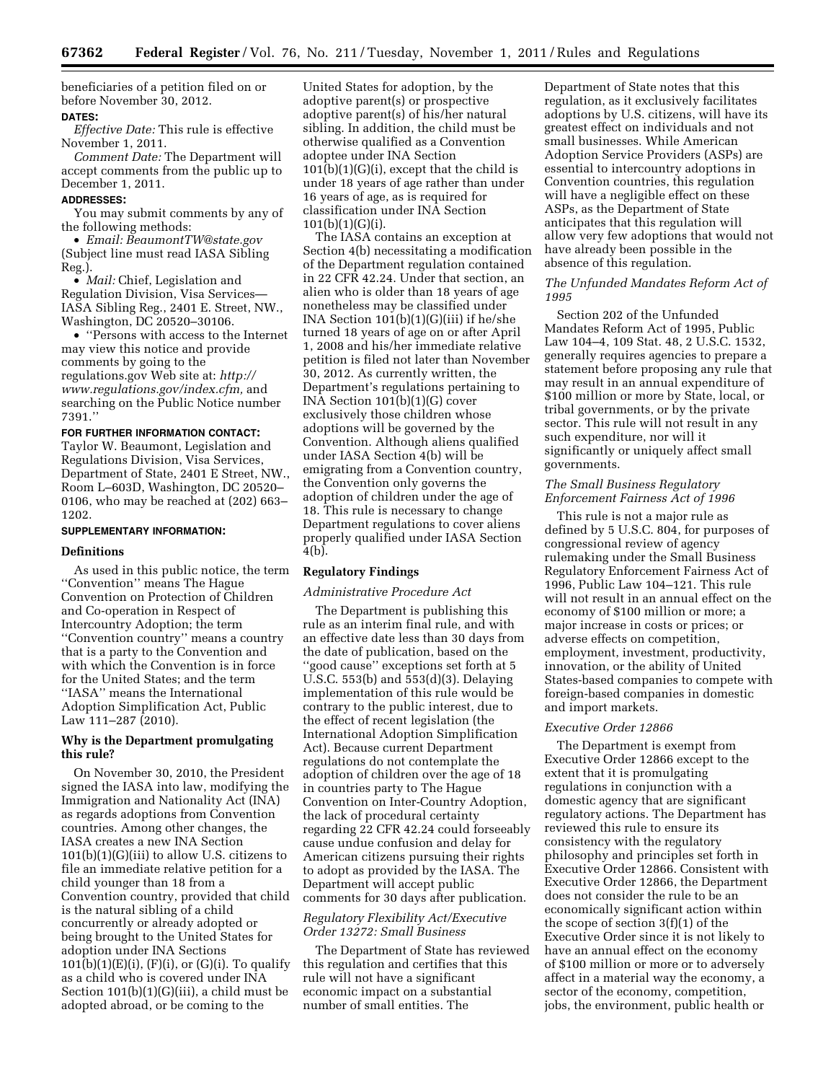beneficiaries of a petition filed on or before November 30, 2012.

### **DATES:**

*Effective Date:* This rule is effective November 1, 2011.

*Comment Date:* The Department will accept comments from the public up to December 1, 2011.

#### **ADDRESSES:**

You may submit comments by any of the following methods:

• *Email: [BeaumontTW@state.gov](mailto:BeaumontTW@state.gov)*  (Subject line must read IASA Sibling Reg.).

• *Mail:* Chief, Legislation and Regulation Division, Visa Services— IASA Sibling Reg., 2401 E. Street, NW., Washington, DC 20520–30106.

• ''Persons with access to the Internet may view this notice and provide comments by going to the regulations.gov Web site at: *[http://](http://www.regulations.gov/index.cfm) [www.regulations.gov/index.cfm,](http://www.regulations.gov/index.cfm)* and searching on the Public Notice number 7391.''

**FOR FURTHER INFORMATION CONTACT:** 

Taylor W. Beaumont, Legislation and Regulations Division, Visa Services, Department of State, 2401 E Street, NW., Room L–603D, Washington, DC 20520– 0106, who may be reached at (202) 663– 1202.

#### **SUPPLEMENTARY INFORMATION:**

#### **Definitions**

As used in this public notice, the term ''Convention'' means The Hague Convention on Protection of Children and Co-operation in Respect of Intercountry Adoption; the term ''Convention country'' means a country that is a party to the Convention and with which the Convention is in force for the United States; and the term ''IASA'' means the International Adoption Simplification Act, Public Law 111–287 (2010).

## **Why is the Department promulgating this rule?**

On November 30, 2010, the President signed the IASA into law, modifying the Immigration and Nationality Act (INA) as regards adoptions from Convention countries. Among other changes, the IASA creates a new INA Section  $101(b)(1)(G)(iii)$  to allow U.S. citizens to file an immediate relative petition for a child younger than 18 from a Convention country, provided that child is the natural sibling of a child concurrently or already adopted or being brought to the United States for adoption under INA Sections  $101(b)(1)(E)(i)$ ,  $(F)(i)$ , or  $(G)(i)$ . To qualify as a child who is covered under INA Section 101(b)(1)(G)(iii), a child must be adopted abroad, or be coming to the

United States for adoption, by the adoptive parent(s) or prospective adoptive parent(s) of his/her natural sibling. In addition, the child must be otherwise qualified as a Convention adoptee under INA Section 101(b)(1)(G)(i), except that the child is under 18 years of age rather than under 16 years of age, as is required for classification under INA Section  $101(b)(1)(G)(i)$ .

The IASA contains an exception at Section 4(b) necessitating a modification of the Department regulation contained in 22 CFR 42.24. Under that section, an alien who is older than 18 years of age nonetheless may be classified under INA Section 101(b)(1)(G)(iii) if he/she turned 18 years of age on or after April 1, 2008 and his/her immediate relative petition is filed not later than November 30, 2012. As currently written, the Department's regulations pertaining to INA Section 101(b)(1)(G) cover exclusively those children whose adoptions will be governed by the Convention. Although aliens qualified under IASA Section 4(b) will be emigrating from a Convention country, the Convention only governs the adoption of children under the age of 18. This rule is necessary to change Department regulations to cover aliens properly qualified under IASA Section 4(b).

### **Regulatory Findings**

#### *Administrative Procedure Act*

The Department is publishing this rule as an interim final rule, and with an effective date less than 30 days from the date of publication, based on the ''good cause'' exceptions set forth at 5 U.S.C. 553(b) and 553(d)(3). Delaying implementation of this rule would be contrary to the public interest, due to the effect of recent legislation (the International Adoption Simplification Act). Because current Department regulations do not contemplate the adoption of children over the age of 18 in countries party to The Hague Convention on Inter-Country Adoption, the lack of procedural certainty regarding 22 CFR 42.24 could forseeably cause undue confusion and delay for American citizens pursuing their rights to adopt as provided by the IASA. The Department will accept public comments for 30 days after publication.

## *Regulatory Flexibility Act/Executive Order 13272: Small Business*

The Department of State has reviewed this regulation and certifies that this rule will not have a significant economic impact on a substantial number of small entities. The

Department of State notes that this regulation, as it exclusively facilitates adoptions by U.S. citizens, will have its greatest effect on individuals and not small businesses. While American Adoption Service Providers (ASPs) are essential to intercountry adoptions in Convention countries, this regulation will have a negligible effect on these ASPs, as the Department of State anticipates that this regulation will allow very few adoptions that would not have already been possible in the absence of this regulation.

### *The Unfunded Mandates Reform Act of 1995*

Section 202 of the Unfunded Mandates Reform Act of 1995, Public Law 104–4, 109 Stat. 48, 2 U.S.C. 1532, generally requires agencies to prepare a statement before proposing any rule that may result in an annual expenditure of \$100 million or more by State, local, or tribal governments, or by the private sector. This rule will not result in any such expenditure, nor will it significantly or uniquely affect small governments.

## *The Small Business Regulatory Enforcement Fairness Act of 1996*

This rule is not a major rule as defined by 5 U.S.C. 804, for purposes of congressional review of agency rulemaking under the Small Business Regulatory Enforcement Fairness Act of 1996, Public Law 104–121. This rule will not result in an annual effect on the economy of \$100 million or more; a major increase in costs or prices; or adverse effects on competition, employment, investment, productivity, innovation, or the ability of United States-based companies to compete with foreign-based companies in domestic and import markets.

#### *Executive Order 12866*

The Department is exempt from Executive Order 12866 except to the extent that it is promulgating regulations in conjunction with a domestic agency that are significant regulatory actions. The Department has reviewed this rule to ensure its consistency with the regulatory philosophy and principles set forth in Executive Order 12866. Consistent with Executive Order 12866, the Department does not consider the rule to be an economically significant action within the scope of section 3(f)(1) of the Executive Order since it is not likely to have an annual effect on the economy of \$100 million or more or to adversely affect in a material way the economy, a sector of the economy, competition, jobs, the environment, public health or